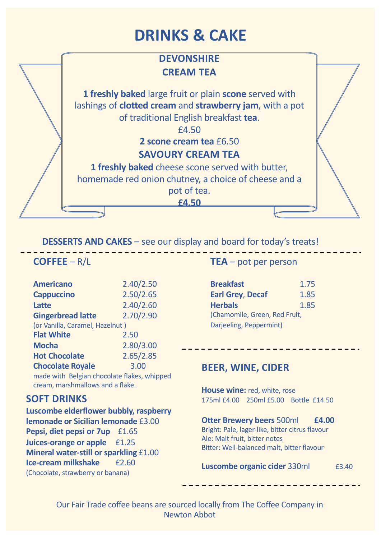# **DRINKS & CAKE**

### **DEVONSHIRE CREAM TEA**

**1 freshly baked** large fruit or plain **scone** served with lashings of **clotted cream** and **strawberry jam**, with a pot of traditional English breakfast **tea**.

£4.50

**2 scone cream tea** £6.50 **SAVOURY CREAM TEA**

**1 freshly baked** cheese scone served with butter, homemade red onion chutney, a choice of cheese and a pot of tea.

**£4.50**

#### **DESSERTS AND CAKES** – see our display and board for today's treats!

#### **COFFEE** – R/L

| <b>Americano</b>                | 2.40/2.50 |  |
|---------------------------------|-----------|--|
| <b>Cappuccino</b>               | 2.50/2.65 |  |
| <b>Latte</b>                    | 2.40/2.60 |  |
| <b>Gingerbread latte</b>        | 2.70/2.90 |  |
| (or Vanilla, Caramel, Hazelnut) |           |  |
| <b>Flat White</b>               | 2.50      |  |
| <b>Mocha</b>                    | 2.80/3.00 |  |
| <b>Hot Chocolate</b>            | 2.65/2.85 |  |
| <b>Chocolate Royale</b>         | 3.00      |  |
|                                 |           |  |

made with Belgian chocolate flakes, whipped cream, marshmallows and a flake.

#### **SOFT DRINKS**

**Luscombe elderflower bubbly, raspberry lemonade or Sicilian lemonade** £3.00 **Pepsi, diet pepsi or 7up** £1.65 **Juices-orange or apple** £1.25 **Mineral water-still or sparkling** £1.00 **Ice-cream milkshake** £2.60 (Chocolate, strawberry or banana)

#### **TEA** – pot per person

| <b>Breakfast</b>              | 1.75 |
|-------------------------------|------|
| <b>Earl Grey, Decaf</b>       | 1.85 |
| <b>Herbals</b>                | 1.85 |
| (Chamomile, Green, Red Fruit, |      |
| Darjeeling, Peppermint)       |      |

#### **BEER, WINE, CIDER**

**House wine:** red, white, rose 175ml £4.00 250ml £5.00 Bottle £14.50

#### **Otter Brewery beers** 500ml **£4.00**

Bright: Pale, lager-like, bitter citrus flavour Ale: Malt fruit, bitter notes Bitter: Well-balanced malt, bitter flavour

**Luscombe organic cider** 330ml  $£3.40$ 

Our Fair Trade coffee beans are sourced locally from The Coffee Company in Newton Abbot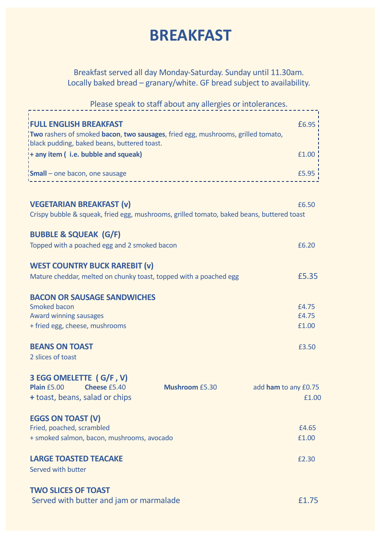### **BREAKFAST**

Breakfast served all day Monday-Saturday. Sunday until 11.30am. Locally baked bread – granary/white. GF bread subject to availability.

Please speak to staff about any allergies or intolerances. **FULL ENGLISH BREAKFAST EXECUTE ENGLISH BREAKFAST Two** rashers of smoked **bacon**, **two sausages**, fried egg, mushrooms, grilled tomato, black pudding, baked beans, buttered toast. **+ any item ( i.e. bubble and squeak)** £1.00 **Small** – one bacon, one sausage  $5.95$ <br> $\frac{1}{2}$ **VEGETARIAN BREAKFAST (v)**  $6.50$ Crispy bubble & squeak, fried egg, mushrooms, grilled tomato, baked beans, buttered toast **BUBBLE & SQUEAK (G/F)** Topped with a poached egg and 2 smoked bacon **EXALL EXALL EXACUTER** EQ.20 **WEST COUNTRY BUCK RAREBIT (v)**  Mature cheddar, melted on chunky toast, topped with a poached egg **E5.35 BACON OR SAUSAGE SANDWICHES** Smoked bacon **E4.75** Award winning sausages £4.75 + fried egg, cheese, mushrooms £1.00 **BEANS ON TOAST E3.50** 2 slices of toast **3 EGG OMELETTE ( G/F , V) Plain** £5.00 **Cheese** £5.40 **Mushroom** £5.30 add **ham** to any £0.75 **+ toast, beans, salad or chips**  $\qquad 1.00$ **EGGS ON TOAST (V)** Fried, poached, scrambled **E4.65** + smoked salmon, bacon, mushrooms, avocado £1.00 **LARGE TOASTED TEACAKE** *£2.30* **<b>EXAMPLE 2.30** Served with butter **TWO SLICES OF TOAST**

| Served with butter and jam or marmalade | £1.75 |
|-----------------------------------------|-------|
|-----------------------------------------|-------|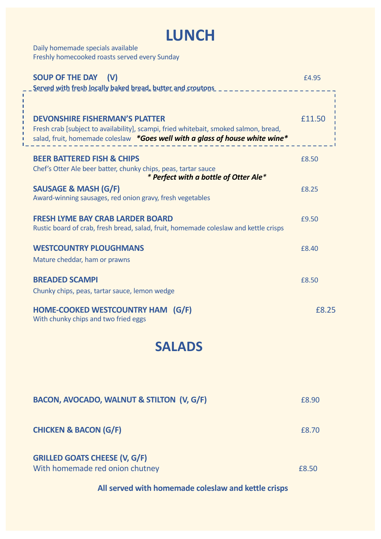### **LUNCH**

Daily homemade specials available Freshly homecooked roasts served every Sunday

| <b>SOUP OF THE DAY</b><br>(V)<br>Served with fresh locally baked bread, butter and croutons                                                                                                                   | £4.95  |
|---------------------------------------------------------------------------------------------------------------------------------------------------------------------------------------------------------------|--------|
| <b>DEVONSHIRE FISHERMAN'S PLATTER</b><br>Fresh crab [subject to availability], scampi, fried whitebait, smoked salmon, bread,<br>salad, fruit, homemade coleslaw *Goes well with a glass of house white wine* | £11.50 |
| <b>BEER BATTERED FISH &amp; CHIPS</b>                                                                                                                                                                         | £8.50  |
| Chef's Otter Ale beer batter, chunky chips, peas, tartar sauce<br>* Perfect with a bottle of Otter Ale*                                                                                                       |        |
| <b>SAUSAGE &amp; MASH (G/F)</b><br>Award-winning sausages, red onion gravy, fresh vegetables                                                                                                                  | £8.25  |
| <b>FRESH LYME BAY CRAB LARDER BOARD</b><br>Rustic board of crab, fresh bread, salad, fruit, homemade coleslaw and kettle crisps                                                                               | £9.50  |
| <b>WESTCOUNTRY PLOUGHMANS</b><br>Mature cheddar, ham or prawns                                                                                                                                                | £8.40  |
| <b>BREADED SCAMPI</b><br>Chunky chips, peas, tartar sauce, lemon wedge                                                                                                                                        | £8.50  |
| <b>HOME-COOKED WESTCOUNTRY HAM (G/F)</b><br>With chunky chips and two fried eggs                                                                                                                              | £8.25  |

### **SALADS**

| <b>BACON, AVOCADO, WALNUT &amp; STILTON (V, G/F)</b>                    | £8.90        |
|-------------------------------------------------------------------------|--------------|
| <b>CHICKEN &amp; BACON (G/F)</b>                                        | <b>£8.70</b> |
| <b>GRILLED GOATS CHEESE (V, G/F)</b><br>With homemade red onion chutney | £8.50        |

### **All served with homemade coleslaw and kettle crisps**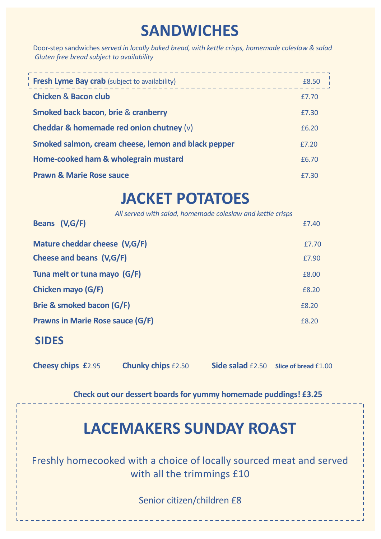### **SANDWICHES**

Door-step sandwiches *served in locally baked bread, with kettle crisps, homemade coleslaw & salad Gluten free bread subject to availability*

| <b>Fresh Lyme Bay crab</b> (subject to availability) | £8.50 |
|------------------------------------------------------|-------|
| <b>Chicken &amp; Bacon club</b>                      | £7.70 |
| <b>Smoked back bacon, brie &amp; cranberry</b>       | £7.30 |
| Cheddar & homemade red onion chutney $(v)$           | £6.20 |
| Smoked salmon, cream cheese, lemon and black pepper  | £7.20 |
| Home-cooked ham & wholegrain mustard                 | £6.70 |
| <b>Prawn &amp; Marie Rose sauce</b>                  | £7.30 |

## **JACKET POTATOES**

| All served with salad, homemade coleslaw and kettle crisps<br>Beans (V,G/F) | £7.40 |
|-----------------------------------------------------------------------------|-------|
| Mature cheddar cheese (V,G/F)                                               | £7.70 |
| Cheese and beans (V,G/F)                                                    | £7.90 |
| Tuna melt or tuna mayo (G/F)                                                | £8.00 |
| Chicken mayo (G/F)                                                          | £8.20 |
| Brie & smoked bacon (G/F)                                                   | £8.20 |
| <b>Prawns in Marie Rose sauce (G/F)</b>                                     | £8.20 |
|                                                                             |       |

### **SIDES**

**Cheesy chips £**2.95 **Chunky chips** £2.50 **Side salad** £2.50 **Slice of bread** £1.00

**Check out our dessert boards for yummy homemade puddings! £3.25**

### **LACEMAKERS SUNDAY ROAST**

Freshly homecooked with a choice of locally sourced meat and served with all the trimmings £10

Senior citizen/children £8